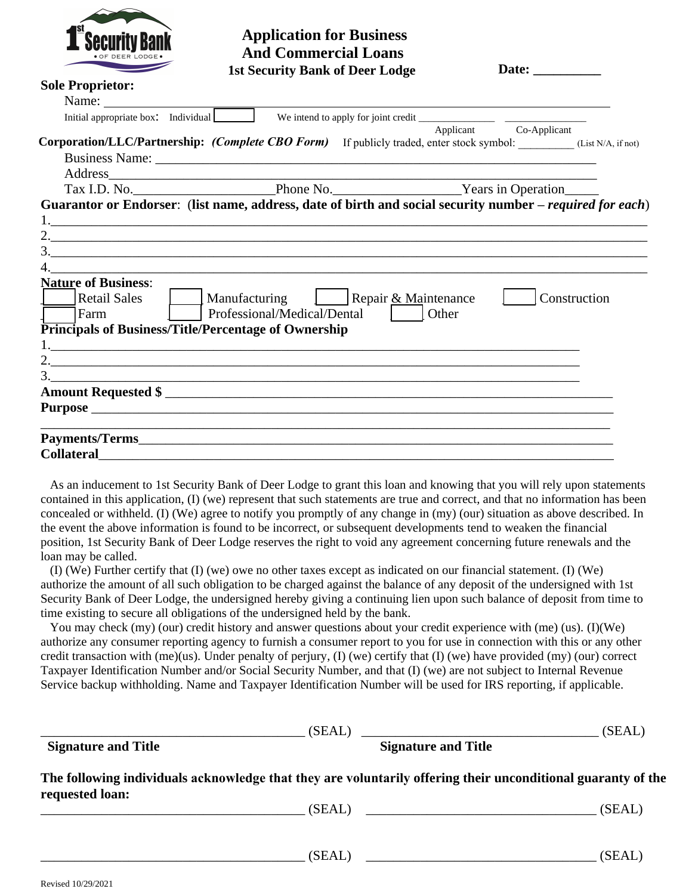

## **And Commercial Loans Application for Business**

|                                                                                                | <b>1st Security Bank of Deer Lodge</b>                                                                      | Date: $\_\_$           |
|------------------------------------------------------------------------------------------------|-------------------------------------------------------------------------------------------------------------|------------------------|
| <b>Sole Proprietor:</b>                                                                        |                                                                                                             |                        |
| Name: $\frac{1}{\sqrt{1-\frac{1}{2}}\sqrt{1-\frac{1}{2}}\left(\frac{1}{2}-\frac{1}{2}\right)}$ |                                                                                                             |                        |
| Initial appropriate box: Individual                                                            |                                                                                                             |                        |
|                                                                                                |                                                                                                             | Applicant Co-Applicant |
|                                                                                                | Corporation/LLC/Partnership: (Complete CBO Form) If publicly traded, enter stock symbol: (List N/A, if not) |                        |
|                                                                                                |                                                                                                             |                        |
|                                                                                                |                                                                                                             |                        |
|                                                                                                |                                                                                                             |                        |
|                                                                                                | Guarantor or Endorser: (list name, address, date of birth and social security number – required for each)   |                        |
|                                                                                                |                                                                                                             |                        |
|                                                                                                |                                                                                                             |                        |
|                                                                                                | $\frac{3}{2}$                                                                                               |                        |
|                                                                                                |                                                                                                             |                        |
| <b>Nature of Business:</b>                                                                     |                                                                                                             |                        |
| <b>Retail Sales</b>                                                                            |                                                                                                             | Construction           |
| l Farm                                                                                         | Professional/Medical/Dental   Other                                                                         |                        |
| <b>Principals of Business/Title/Percentage of Ownership</b>                                    |                                                                                                             |                        |
|                                                                                                |                                                                                                             |                        |
|                                                                                                |                                                                                                             |                        |
|                                                                                                |                                                                                                             |                        |
|                                                                                                | ,我们也不能在这里的时候,我们也不能在这里的时候,我们也不能会在这里的时候,我们也不能会在这里的时候,我们也不能会在这里的时候,我们也不能会在这里的时候,我们也不                           |                        |
|                                                                                                |                                                                                                             |                        |
|                                                                                                |                                                                                                             |                        |
|                                                                                                |                                                                                                             |                        |
| <b>Collateral</b>                                                                              |                                                                                                             |                        |

As an inducement to 1st Security Bank of Deer Lodge to grant this loan and knowing that you will rely upon statements contained in this application, (I) (we) represent that such statements are true and correct, and that no information has been concealed or withheld. (I) (We) agree to notify you promptly of any change in (my) (our) situation as above described. In the event the above information is found to be incorrect, or subsequent developments tend to weaken the financial position, 1st Security Bank of Deer Lodge reserves the right to void any agreement concerning future renewals and the loan may be called.

(I) (We) Further certify that (I) (we) owe no other taxes except as indicated on our financial statement. (I) (We) authorize the amount of all such obligation to be charged against the balance of any deposit of the undersigned with 1st Security Bank of Deer Lodge, the undersigned hereby giving a continuing lien upon such balance of deposit from time to time existing to secure all obligations of the undersigned held by the bank.

You may check (my) (our) credit history and answer questions about your credit experience with (me) (us). (I)(We) authorize any consumer reporting agency to furnish a consumer report to you for use in connection with this or any other credit transaction with  $(me)(us)$ . Under penalty of perjury, (I) (we) certify that (I) (we) have provided (my) (our) correct Taxpayer Identification Number and/or Social Security Number, and that (I) (we) are not subject to Internal Revenue Service backup withholding. Name and Taxpayer Identification Number will be used for IRS reporting, if applicable.

|                            | (SEAL)<br><u> 2000 - Januar Alexander Alexander (h. 1878).</u>                                               | (SEAL) |
|----------------------------|--------------------------------------------------------------------------------------------------------------|--------|
| <b>Signature and Title</b> | <b>Signature and Title</b>                                                                                   |        |
| requested loan:            | The following individuals acknowledge that they are voluntarily offering their unconditional guaranty of the |        |
|                            | (SEAL)                                                                                                       | (SEAL) |
|                            | (SEAL)                                                                                                       | (SEAL) |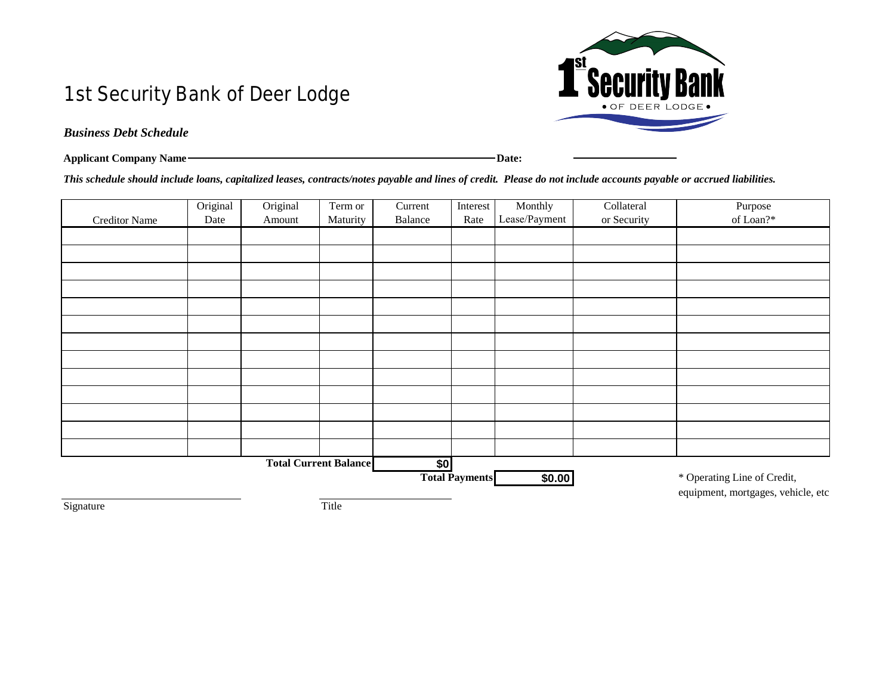## 1st Security Bank of Deer Lodge



## *Business Debt Schedule*

| <b>Applicant Company Name-</b> | Date: |
|--------------------------------|-------|

*This schedule should include loans, capitalized leases, contracts/notes payable and lines of credit. Please do not include accounts payable or accrued liabilities.*

|                      | Original | Original | Term or                      | Current | Interest              | Monthly       | Collateral  | Purpose<br>of Loan?*               |
|----------------------|----------|----------|------------------------------|---------|-----------------------|---------------|-------------|------------------------------------|
| <b>Creditor Name</b> | Date     | Amount   | Maturity                     | Balance | Rate                  | Lease/Payment | or Security |                                    |
|                      |          |          |                              |         |                       |               |             |                                    |
|                      |          |          |                              |         |                       |               |             |                                    |
|                      |          |          |                              |         |                       |               |             |                                    |
|                      |          |          |                              |         |                       |               |             |                                    |
|                      |          |          |                              |         |                       |               |             |                                    |
|                      |          |          |                              |         |                       |               |             |                                    |
|                      |          |          |                              |         |                       |               |             |                                    |
|                      |          |          |                              |         |                       |               |             |                                    |
|                      |          |          |                              |         |                       |               |             |                                    |
|                      |          |          |                              |         |                       |               |             |                                    |
|                      |          |          |                              |         |                       |               |             |                                    |
|                      |          |          |                              |         |                       |               |             |                                    |
|                      |          |          |                              |         |                       |               |             |                                    |
|                      |          |          | <b>Total Current Balance</b> | \$0     |                       |               |             |                                    |
|                      |          |          |                              |         | <b>Total Payments</b> | \$0.00        |             | * Operating Line of Credit,        |
|                      |          |          |                              |         |                       |               |             | equipment, mortgages, vehicle, etc |
| Signature            |          |          | Title                        |         |                       |               |             |                                    |